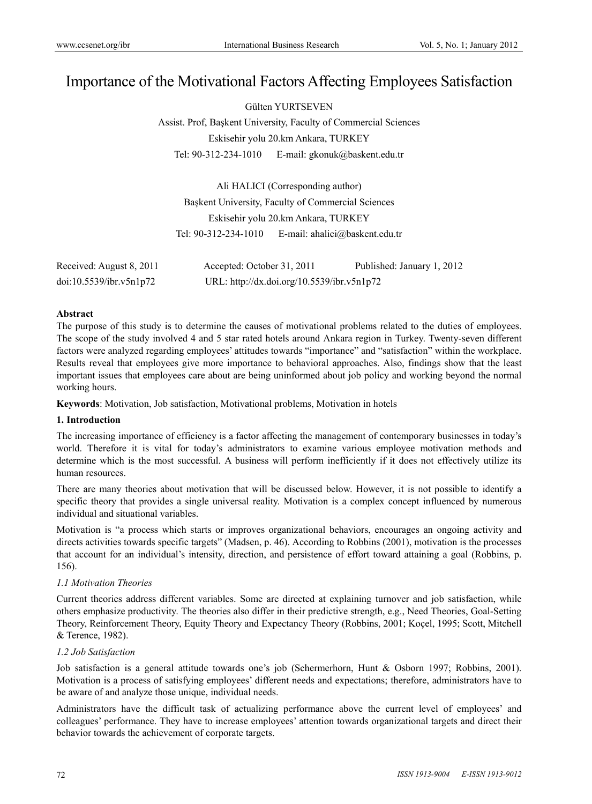# Importance of the Motivational Factors Affecting Employees Satisfaction

Gülten YURTSEVEN Assist. Prof, Başkent University, Faculty of Commercial Sciences Eskisehir yolu 20.km Ankara, TURKEY Tel: 90-312-234-1010 E-mail: gkonuk@baskent.edu.tr

Ali HALICI (Corresponding author) Başkent University, Faculty of Commercial Sciences Eskisehir yolu 20.km Ankara, TURKEY Tel: 90-312-234-1010 E-mail: ahalici@baskent.edu.tr

| Received: August 8, 2011 | Accepted: October 31, 2011                 | Published: January 1, 2012 |
|--------------------------|--------------------------------------------|----------------------------|
| doi:10.5539/ibr.v5n1p72  | URL: http://dx.doi.org/10.5539/ibr.v5n1p72 |                            |

#### **Abstract**

The purpose of this study is to determine the causes of motivational problems related to the duties of employees. The scope of the study involved 4 and 5 star rated hotels around Ankara region in Turkey. Twenty-seven different factors were analyzed regarding employees' attitudes towards "importance" and "satisfaction" within the workplace. Results reveal that employees give more importance to behavioral approaches. Also, findings show that the least important issues that employees care about are being uninformed about job policy and working beyond the normal working hours.

**Keywords**: Motivation, Job satisfaction, Motivational problems, Motivation in hotels

#### **1. Introduction**

The increasing importance of efficiency is a factor affecting the management of contemporary businesses in today's world. Therefore it is vital for today's administrators to examine various employee motivation methods and determine which is the most successful. A business will perform inefficiently if it does not effectively utilize its human resources.

There are many theories about motivation that will be discussed below. However, it is not possible to identify a specific theory that provides a single universal reality. Motivation is a complex concept influenced by numerous individual and situational variables.

Motivation is "a process which starts or improves organizational behaviors, encourages an ongoing activity and directs activities towards specific targets" (Madsen, p. 46). According to Robbins (2001), motivation is the processes that account for an individual's intensity, direction, and persistence of effort toward attaining a goal (Robbins, p. 156).

#### *1.1 Motivation Theories*

Current theories address different variables. Some are directed at explaining turnover and job satisfaction, while others emphasize productivity. The theories also differ in their predictive strength, e.g., Need Theories, Goal-Setting Theory, Reinforcement Theory, Equity Theory and Expectancy Theory (Robbins, 2001; Koçel, 1995; Scott, Mitchell & Terence, 1982).

#### *1.2 Job Satisfaction*

Job satisfaction is a general attitude towards one's job (Schermerhorn, Hunt & Osborn 1997; Robbins, 2001). Motivation is a process of satisfying employees' different needs and expectations; therefore, administrators have to be aware of and analyze those unique, individual needs.

Administrators have the difficult task of actualizing performance above the current level of employees' and colleagues' performance. They have to increase employees' attention towards organizational targets and direct their behavior towards the achievement of corporate targets.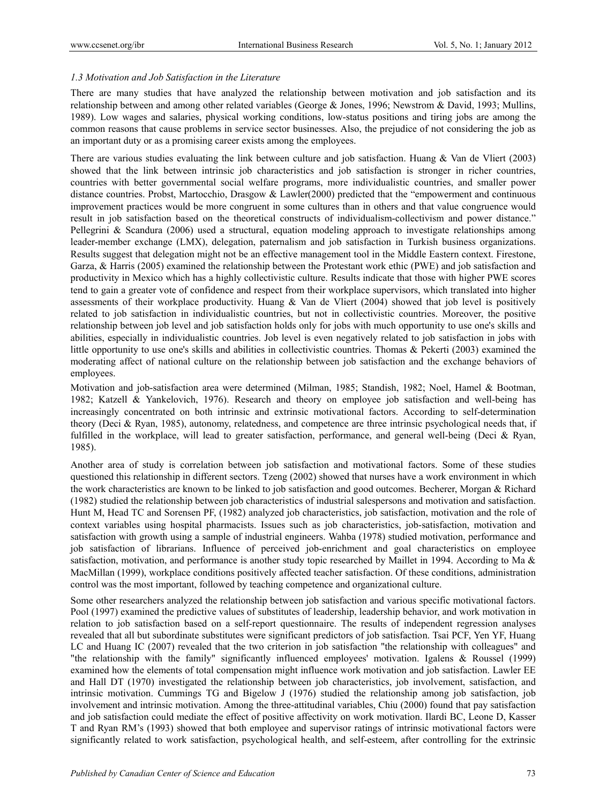## *1.3 Motivation and Job Satisfaction in the Literature*

There are many studies that have analyzed the relationship between motivation and job satisfaction and its relationship between and among other related variables (George & Jones, 1996; Newstrom & David, 1993; Mullins, 1989). Low wages and salaries, physical working conditions, low-status positions and tiring jobs are among the common reasons that cause problems in service sector businesses. Also, the prejudice of not considering the job as an important duty or as a promising career exists among the employees.

There are various studies evaluating the link between culture and job satisfaction. Huang & Van de Vliert (2003) showed that the link between intrinsic job characteristics and job satisfaction is stronger in richer countries, countries with better governmental social welfare programs, more individualistic countries, and smaller power distance countries. Probst, Martocchio, Drasgow & Lawler(2000) predicted that the "empowerment and continuous improvement practices would be more congruent in some cultures than in others and that value congruence would result in job satisfaction based on the theoretical constructs of individualism-collectivism and power distance." Pellegrini & Scandura (2006) used a structural, equation modeling approach to investigate relationships among leader-member exchange (LMX), delegation, paternalism and job satisfaction in Turkish business organizations. Results suggest that delegation might not be an effective management tool in the Middle Eastern context. Firestone, Garza, & Harris (2005) examined the relationship between the Protestant work ethic (PWE) and job satisfaction and productivity in Mexico which has a highly collectivistic culture. Results indicate that those with higher PWE scores tend to gain a greater vote of confidence and respect from their workplace supervisors, which translated into higher assessments of their workplace productivity. Huang & Van de Vliert (2004) showed that job level is positively related to job satisfaction in individualistic countries, but not in collectivistic countries. Moreover, the positive relationship between job level and job satisfaction holds only for jobs with much opportunity to use one's skills and abilities, especially in individualistic countries. Job level is even negatively related to job satisfaction in jobs with little opportunity to use one's skills and abilities in collectivistic countries. Thomas & Pekerti (2003) examined the moderating affect of national culture on the relationship between job satisfaction and the exchange behaviors of employees.

Motivation and job-satisfaction area were determined (Milman, 1985; Standish, 1982; Noel, Hamel & Bootman, 1982; Katzell & Yankelovich, 1976). Research and theory on employee job satisfaction and well-being has increasingly concentrated on both intrinsic and extrinsic motivational factors. According to self-determination theory (Deci & Ryan, 1985), autonomy, relatedness, and competence are three intrinsic psychological needs that, if fulfilled in the workplace, will lead to greater satisfaction, performance, and general well-being (Deci & Ryan, 1985).

Another area of study is correlation between job satisfaction and motivational factors. Some of these studies questioned this relationship in different sectors. Tzeng (2002) showed that nurses have a work environment in which the work characteristics are known to be linked to job satisfaction and good outcomes. Becherer, Morgan & Richard (1982) studied the relationship between job characteristics of industrial salespersons and motivation and satisfaction. Hunt M, Head TC and Sorensen PF, (1982) analyzed job characteristics, job satisfaction, motivation and the role of context variables using hospital pharmacists. Issues such as job characteristics, job-satisfaction, motivation and satisfaction with growth using a sample of industrial engineers. Wahba (1978) studied motivation, performance and job satisfaction of librarians. Influence of perceived job-enrichment and goal characteristics on employee satisfaction, motivation, and performance is another study topic researched by Maillet in 1994. According to Ma & MacMillan (1999), workplace conditions positively affected teacher satisfaction. Of these conditions, administration control was the most important, followed by teaching competence and organizational culture.

Some other researchers analyzed the relationship between job satisfaction and various specific motivational factors. Pool (1997) examined the predictive values of substitutes of leadership, leadership behavior, and work motivation in relation to job satisfaction based on a self-report questionnaire. The results of independent regression analyses revealed that all but subordinate substitutes were significant predictors of job satisfaction. Tsai PCF, Yen YF, Huang LC and Huang IC (2007) revealed that the two criterion in job satisfaction "the relationship with colleagues" and "the relationship with the family" significantly influenced employees' motivation. Igalens & Roussel (1999) examined how the elements of total compensation might influence work motivation and job satisfaction. Lawler EE and Hall DT (1970) investigated the relationship between job characteristics, job involvement, satisfaction, and intrinsic motivation. Cummings TG and Bigelow J (1976) studied the relationship among job satisfaction, job involvement and intrinsic motivation. Among the three-attitudinal variables, Chiu (2000) found that pay satisfaction and job satisfaction could mediate the effect of positive affectivity on work motivation. Ilardi BC, Leone D, Kasser T and Ryan RM's (1993) showed that both employee and supervisor ratings of intrinsic motivational factors were significantly related to work satisfaction, psychological health, and self-esteem, after controlling for the extrinsic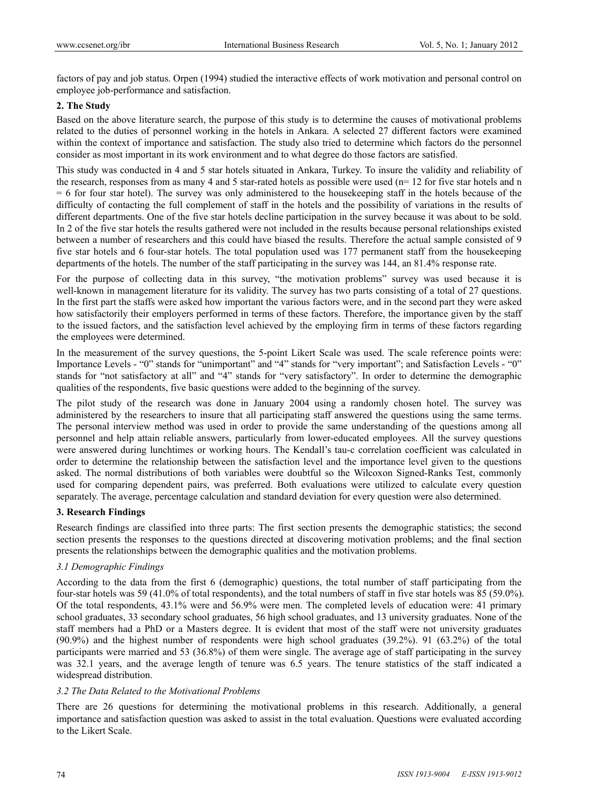factors of pay and job status. Orpen (1994) studied the interactive effects of work motivation and personal control on employee job-performance and satisfaction.

## **2. The Study**

Based on the above literature search, the purpose of this study is to determine the causes of motivational problems related to the duties of personnel working in the hotels in Ankara. A selected 27 different factors were examined within the context of importance and satisfaction. The study also tried to determine which factors do the personnel consider as most important in its work environment and to what degree do those factors are satisfied.

This study was conducted in 4 and 5 star hotels situated in Ankara, Turkey. To insure the validity and reliability of the research, responses from as many 4 and 5 star-rated hotels as possible were used ( $n= 12$  for five star hotels and n  $= 6$  for four star hotel). The survey was only administered to the house keeping staff in the hotels because of the difficulty of contacting the full complement of staff in the hotels and the possibility of variations in the results of different departments. One of the five star hotels decline participation in the survey because it was about to be sold. In 2 of the five star hotels the results gathered were not included in the results because personal relationships existed between a number of researchers and this could have biased the results. Therefore the actual sample consisted of 9 five star hotels and 6 four-star hotels. The total population used was 177 permanent staff from the housekeeping departments of the hotels. The number of the staff participating in the survey was 144, an 81.4% response rate.

For the purpose of collecting data in this survey, "the motivation problems" survey was used because it is well-known in management literature for its validity. The survey has two parts consisting of a total of 27 questions. In the first part the staffs were asked how important the various factors were, and in the second part they were asked how satisfactorily their employers performed in terms of these factors. Therefore, the importance given by the staff to the issued factors, and the satisfaction level achieved by the employing firm in terms of these factors regarding the employees were determined.

In the measurement of the survey questions, the 5-point Likert Scale was used. The scale reference points were: Importance Levels - "0" stands for "unimportant" and "4" stands for "very important"; and Satisfaction Levels - "0" stands for "not satisfactory at all" and "4" stands for "very satisfactory". In order to determine the demographic qualities of the respondents, five basic questions were added to the beginning of the survey.

The pilot study of the research was done in January 2004 using a randomly chosen hotel. The survey was administered by the researchers to insure that all participating staff answered the questions using the same terms. The personal interview method was used in order to provide the same understanding of the questions among all personnel and help attain reliable answers, particularly from lower-educated employees. All the survey questions were answered during lunchtimes or working hours. The Kendall's tau-c correlation coefficient was calculated in order to determine the relationship between the satisfaction level and the importance level given to the questions asked. The normal distributions of both variables were doubtful so the Wilcoxon Signed-Ranks Test, commonly used for comparing dependent pairs, was preferred. Both evaluations were utilized to calculate every question separately. The average, percentage calculation and standard deviation for every question were also determined.

## **3. Research Findings**

Research findings are classified into three parts: The first section presents the demographic statistics; the second section presents the responses to the questions directed at discovering motivation problems; and the final section presents the relationships between the demographic qualities and the motivation problems.

#### *3.1 Demographic Findings*

According to the data from the first 6 (demographic) questions, the total number of staff participating from the four-star hotels was 59 (41.0% of total respondents), and the total numbers of staff in five star hotels was 85 (59.0%). Of the total respondents, 43.1% were and 56.9% were men. The completed levels of education were: 41 primary school graduates, 33 secondary school graduates, 56 high school graduates, and 13 university graduates. None of the staff members had a PhD or a Masters degree. It is evident that most of the staff were not university graduates (90.9%) and the highest number of respondents were high school graduates (39.2%). 91 (63.2%) of the total participants were married and 53 (36.8%) of them were single. The average age of staff participating in the survey was 32.1 years, and the average length of tenure was 6.5 years. The tenure statistics of the staff indicated a widespread distribution.

#### *3.2 The Data Related to the Motivational Problems*

There are 26 questions for determining the motivational problems in this research. Additionally, a general importance and satisfaction question was asked to assist in the total evaluation. Questions were evaluated according to the Likert Scale.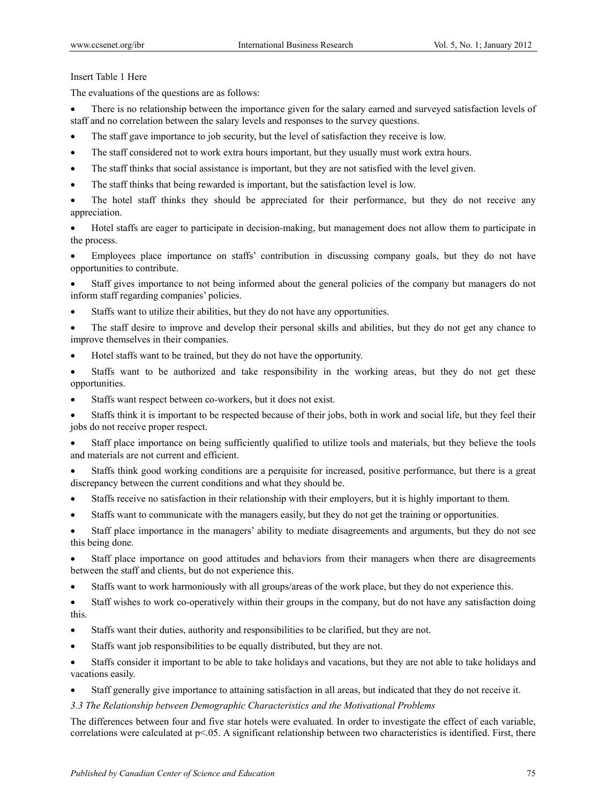Insert Table 1 Here

The evaluations of the questions are as follows:

 There is no relationship between the importance given for the salary earned and surveyed satisfaction levels of staff and no correlation between the salary levels and responses to the survey questions.

- The staff gave importance to job security, but the level of satisfaction they receive is low.
- The staff considered not to work extra hours important, but they usually must work extra hours.
- The staff thinks that social assistance is important, but they are not satisfied with the level given.
- The staff thinks that being rewarded is important, but the satisfaction level is low.

 The hotel staff thinks they should be appreciated for their performance, but they do not receive any appreciation.

 Hotel staffs are eager to participate in decision-making, but management does not allow them to participate in the process.

 Employees place importance on staffs' contribution in discussing company goals, but they do not have opportunities to contribute.

 Staff gives importance to not being informed about the general policies of the company but managers do not inform staff regarding companies' policies.

Staffs want to utilize their abilities, but they do not have any opportunities.

 The staff desire to improve and develop their personal skills and abilities, but they do not get any chance to improve themselves in their companies.

- Hotel staffs want to be trained, but they do not have the opportunity.
- Staffs want to be authorized and take responsibility in the working areas, but they do not get these opportunities.
- Staffs want respect between co-workers, but it does not exist.

 Staffs think it is important to be respected because of their jobs, both in work and social life, but they feel their jobs do not receive proper respect.

 Staff place importance on being sufficiently qualified to utilize tools and materials, but they believe the tools and materials are not current and efficient.

 Staffs think good working conditions are a perquisite for increased, positive performance, but there is a great discrepancy between the current conditions and what they should be.

- Staffs receive no satisfaction in their relationship with their employers, but it is highly important to them.
- Staffs want to communicate with the managers easily, but they do not get the training or opportunities.

 Staff place importance in the managers' ability to mediate disagreements and arguments, but they do not see this being done.

 Staff place importance on good attitudes and behaviors from their managers when there are disagreements between the staff and clients, but do not experience this.

Staffs want to work harmoniously with all groups/areas of the work place, but they do not experience this.

 Staff wishes to work co-operatively within their groups in the company, but do not have any satisfaction doing this.

- Staffs want their duties, authority and responsibilities to be clarified, but they are not.
- Staffs want job responsibilities to be equally distributed, but they are not.
- Staffs consider it important to be able to take holidays and vacations, but they are not able to take holidays and vacations easily.
- Staff generally give importance to attaining satisfaction in all areas, but indicated that they do not receive it.

#### *3.3 The Relationship between Demographic Characteristics and the Motivational Problems*

The differences between four and five star hotels were evaluated. In order to investigate the effect of each variable, correlations were calculated at  $p<0.05$ . A significant relationship between two characteristics is identified. First, there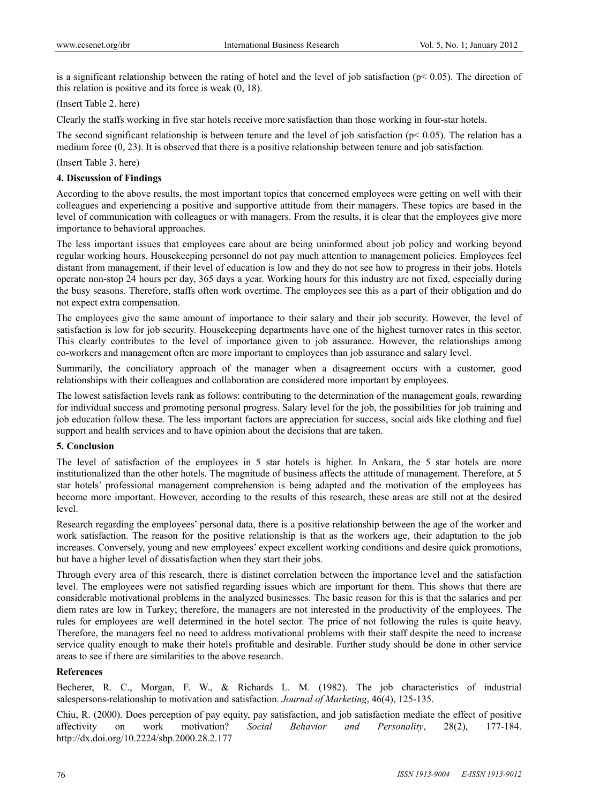is a significant relationship between the rating of hotel and the level of job satisfaction ( $p$ < 0.05). The direction of this relation is positive and its force is weak (0, 18).

#### (Insert Table 2. here)

Clearly the staffs working in five star hotels receive more satisfaction than those working in four-star hotels.

The second significant relationship is between tenure and the level of job satisfaction ( $p < 0.05$ ). The relation has a medium force  $(0, 23)$ . It is observed that there is a positive relationship between tenure and job satisfaction.

(Insert Table 3. here)

#### **4. Discussion of Findings**

According to the above results, the most important topics that concerned employees were getting on well with their colleagues and experiencing a positive and supportive attitude from their managers. These topics are based in the level of communication with colleagues or with managers. From the results, it is clear that the employees give more importance to behavioral approaches.

The less important issues that employees care about are being uninformed about job policy and working beyond regular working hours. Housekeeping personnel do not pay much attention to management policies. Employees feel distant from management, if their level of education is low and they do not see how to progress in their jobs. Hotels operate non-stop 24 hours per day, 365 days a year. Working hours for this industry are not fixed, especially during the busy seasons. Therefore, staffs often work overtime. The employees see this as a part of their obligation and do not expect extra compensation.

The employees give the same amount of importance to their salary and their job security. However, the level of satisfaction is low for job security. Housekeeping departments have one of the highest turnover rates in this sector. This clearly contributes to the level of importance given to job assurance. However, the relationships among co-workers and management often are more important to employees than job assurance and salary level.

Summarily, the conciliatory approach of the manager when a disagreement occurs with a customer, good relationships with their colleagues and collaboration are considered more important by employees.

The lowest satisfaction levels rank as follows: contributing to the determination of the management goals, rewarding for individual success and promoting personal progress. Salary level for the job, the possibilities for job training and job education follow these. The less important factors are appreciation for success, social aids like clothing and fuel support and health services and to have opinion about the decisions that are taken.

#### **5. Conclusion**

The level of satisfaction of the employees in 5 star hotels is higher. In Ankara, the 5 star hotels are more institutionalized than the other hotels. The magnitude of business affects the attitude of management. Therefore, at 5 star hotels' professional management comprehension is being adapted and the motivation of the employees has become more important. However, according to the results of this research, these areas are still not at the desired level.

Research regarding the employees' personal data, there is a positive relationship between the age of the worker and work satisfaction. The reason for the positive relationship is that as the workers age, their adaptation to the job increases. Conversely, young and new employees' expect excellent working conditions and desire quick promotions, but have a higher level of dissatisfaction when they start their jobs.

Through every area of this research, there is distinct correlation between the importance level and the satisfaction level. The employees were not satisfied regarding issues which are important for them. This shows that there are considerable motivational problems in the analyzed businesses. The basic reason for this is that the salaries and per diem rates are low in Turkey; therefore, the managers are not interested in the productivity of the employees. The rules for employees are well determined in the hotel sector. The price of not following the rules is quite heavy. Therefore, the managers feel no need to address motivational problems with their staff despite the need to increase service quality enough to make their hotels profitable and desirable. Further study should be done in other service areas to see if there are similarities to the above research.

## **References**

Becherer, R. C., Morgan, F. W., & Richards L. M. (1982). The job characteristics of industrial salespersons-relationship to motivation and satisfaction. *Journal of Marketing*, 46(4), 125-135.

Chiu, R. (2000). Does perception of pay equity, pay satisfaction, and job satisfaction mediate the effect of positive affectivity on work motivation? *Social Behavior and Personality*, 28(2), 177-184. http://dx.doi.org/10.2224/sbp.2000.28.2.177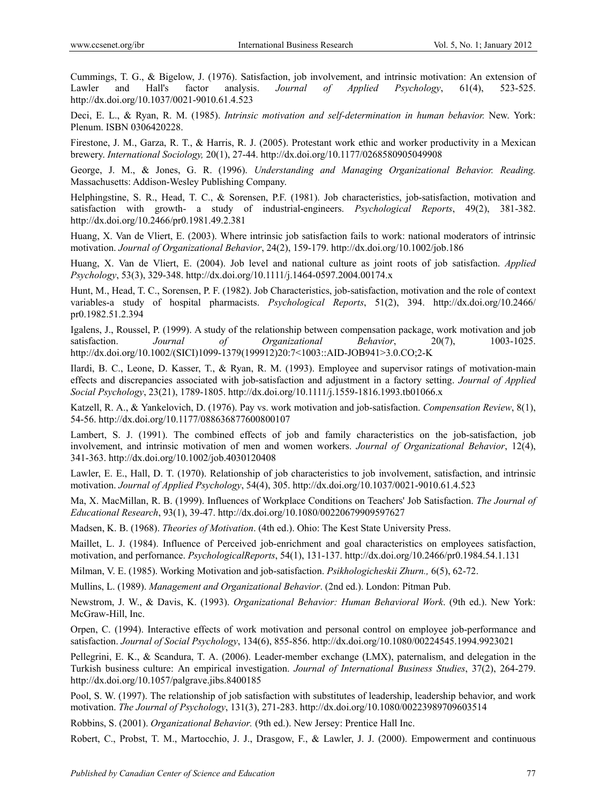Cummings, T. G., & Bigelow, J. (1976). Satisfaction, job involvement, and intrinsic motivation: An extension of Lawler and Hall's factor analysis. *Journal of Applied Psychology*, 61(4), 523-525. http://dx.doi.org/10.1037/0021-9010.61.4.523

Deci, E. L., & Ryan, R. M. (1985). *Intrinsic motivation and self-determination in human behavior*. New. York: Plenum. ISBN 0306420228.

Firestone, J. M., Garza, R. T., & Harris, R. J. (2005). Protestant work ethic and worker productivity in a Mexican brewery. *International Sociology,* 20(1), 27-44. http://dx.doi.org/10.1177/0268580905049908

George, J. M., & Jones, G. R. (1996). *Understanding and Managing Organizational Behavior. Reading.*  Massachusetts: Addison-Wesley Publishing Company.

Helphingstine, S. R., Head, T. C., & Sorensen, P.F. (1981). Job characteristics, job-satisfaction, motivation and satisfaction with growth- a study of industrial-engineers. *Psychological Reports*, 49(2), 381-382. http://dx.doi.org/10.2466/pr0.1981.49.2.381

Huang, X. Van de Vliert, E. (2003). Where intrinsic job satisfaction fails to work: national moderators of intrinsic motivation. *Journal of Organizational Behavior*, 24(2), 159-179. http://dx.doi.org/10.1002/job.186

Huang, X. Van de Vliert, E. (2004). Job level and national culture as joint roots of job satisfaction. *Applied Psychology*, 53(3), 329-348. http://dx.doi.org/10.1111/j.1464-0597.2004.00174.x

Hunt, M., Head, T. C., Sorensen, P. F. (1982). Job Characteristics, job-satisfaction, motivation and the role of context variables-a study of hospital pharmacists. *Psychological Reports*, 51(2), 394. http://dx.doi.org/10.2466/ pr0.1982.51.2.394

Igalens, J., Roussel, P. (1999). A study of the relationship between compensation package, work motivation and job satisfaction. *Journal of Organizational Behavior*, 20(7), 1003-1025. http://dx.doi.org/10.1002/(SICI)1099-1379(199912)20:7<1003::AID-JOB941>3.0.CO;2-K

Ilardi, B. C., Leone, D. Kasser, T., & Ryan, R. M. (1993). Employee and supervisor ratings of motivation-main effects and discrepancies associated with job-satisfaction and adjustment in a factory setting. *Journal of Applied Social Psychology*, 23(21), 1789-1805. http://dx.doi.org/10.1111/j.1559-1816.1993.tb01066.x

Katzell, R. A., & Yankelovich, D. (1976). Pay vs. work motivation and job-satisfaction. *Compensation Review*, 8(1), 54-56. http://dx.doi.org/10.1177/088636877600800107

Lambert, S. J. (1991). The combined effects of job and family characteristics on the job-satisfaction, job involvement, and intrinsic motivation of men and women workers. *Journal of Organizational Behavior*, 12(4), 341-363. http://dx.doi.org/10.1002/job.4030120408

Lawler, E. E., Hall, D. T. (1970). Relationship of job characteristics to job involvement, satisfaction, and intrinsic motivation. *Journal of Applied Psychology*, 54(4), 305. http://dx.doi.org/10.1037/0021-9010.61.4.523

Ma, X. MacMillan, R. B. (1999). Influences of Workplace Conditions on Teachers' Job Satisfaction. *The Journal of Educational Research*, 93(1), 39-47. http://dx.doi.org/10.1080/00220679909597627

Madsen, K. B. (1968). *Theories of Motivation*. (4th ed.). Ohio: The Kest State University Press.

Maillet, L. J. (1984). Influence of Perceived job-enrichment and goal characteristics on employees satisfaction, motivation, and perfornance. *PsychologicalReports*, 54(1), 131-137. http://dx.doi.org/10.2466/pr0.1984.54.1.131

Milman, V. E. (1985). Working Motivation and job-satisfaction. *Psikhologicheskii Zhurn.,* 6(5), 62-72.

Mullins, L. (1989). *Management and Organizational Behavior*. (2nd ed.). London: Pitman Pub.

Newstrom, J. W., & Davis, K. (1993). *Organizational Behavior: Human Behavioral Work*. (9th ed.). New York: McGraw-Hill, Inc.

Orpen, C. (1994). Interactive effects of work motivation and personal control on employee job-performance and satisfaction. *Journal of Social Psychology*, 134(6), 855-856. http://dx.doi.org/10.1080/00224545.1994.9923021

Pellegrini, E. K., & Scandura, T. A. (2006). Leader-member exchange (LMX), paternalism, and delegation in the Turkish business culture: An empirical investigation. *Journal of International Business Studies*, 37(2), 264-279. http://dx.doi.org/10.1057/palgrave.jibs.8400185

Pool, S. W. (1997). The relationship of job satisfaction with substitutes of leadership, leadership behavior, and work motivation. *The Journal of Psychology*, 131(3), 271-283. http://dx.doi.org/10.1080/00223989709603514

Robbins, S. (2001). *Organizational Behavior.* (9th ed.). New Jersey: Prentice Hall Inc.

Robert, C., Probst, T. M., Martocchio, J. J., Drasgow, F., & Lawler, J. J. (2000). Empowerment and continuous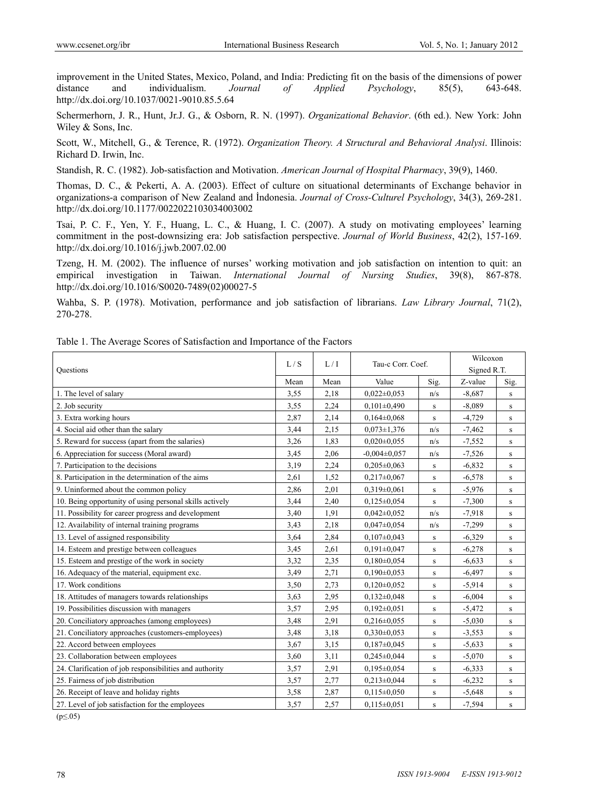improvement in the United States, Mexico, Poland, and India: Predicting fit on the basis of the dimensions of power distance and individualism. *Journal of Applied Psychology*, 85(5), 643-648. http://dx.doi.org/10.1037/0021-9010.85.5.64

Schermerhorn, J. R., Hunt, Jr.J. G., & Osborn, R. N. (1997). *Organizational Behavior*. (6th ed.). New York: John Wiley & Sons, Inc.

Scott, W., Mitchell, G., & Terence, R. (1972). *Organization Theory. A Structural and Behavioral Analysi*. Illinois: Richard D. Irwin, Inc.

Standish, R. C. (1982). Job-satisfaction and Motivation. *American Journal of Hospital Pharmacy*, 39(9), 1460.

Thomas, D. C., & Pekerti, A. A. (2003). Effect of culture on situational determinants of Exchange behavior in organizations-a comparison of New Zealand and İndonesia. *Journal of Cross-Culturel Psychology*, 34(3), 269-281. http://dx.doi.org/10.1177/0022022103034003002

Tsai, P. C. F., Yen, Y. F., Huang, L. C., & Huang, I. C. (2007). A study on motivating employees' learning commitment in the post-downsizing era: Job satisfaction perspective. *Journal of World Business*, 42(2), 157-169. http://dx.doi.org/10.1016/j.jwb.2007.02.00

Tzeng, H. M. (2002). The influence of nurses' working motivation and job satisfaction on intention to quit: an empirical investigation in Taiwan. *International Journal of Nursing Studies*, 39(8), 867-878. http://dx.doi.org/10.1016/S0020-7489(02)00027-5

Wahba, S. P. (1978). Motivation, performance and job satisfaction of librarians. *Law Library Journal*, 71(2), 270-278.

| <b>Ouestions</b>                                        | L/S  | L/I  | Tau-c Corr. Coef.  |             | Wilcoxon<br>Signed R.T. |             |
|---------------------------------------------------------|------|------|--------------------|-------------|-------------------------|-------------|
|                                                         | Mean | Mean | Value              | Sig.        | Z-value                 | Sig.        |
| 1. The level of salary                                  | 3,55 | 2,18 | $0.022 \pm 0.053$  | n/s         | $-8,687$                | ${\bf S}$   |
| 2. Job security                                         | 3.55 | 2,24 | $0.101 \pm 0.490$  | $\mathbf S$ | $-8,089$                | S           |
| 3. Extra working hours                                  | 2,87 | 2,14 | $0.164 \pm 0.068$  | ${\bf S}$   | $-4,729$                | ${\bf S}$   |
| 4. Social aid other than the salary                     | 3,44 | 2,15 | $0,073 \pm 1,376$  | n/s         | $-7,462$                | S           |
| 5. Reward for success (apart from the salaries)         | 3,26 | 1,83 | $0,020 \pm 0,055$  | n/s         | $-7,552$                | s           |
| 6. Appreciation for success (Moral award)               | 3,45 | 2,06 | $-0.004 \pm 0.057$ | n/s         | $-7,526$                | $\,$ s      |
| 7. Participation to the decisions                       | 3,19 | 2,24 | $0.205 \pm 0.063$  | s           | $-6,832$                | S           |
| 8. Participation in the determination of the aims       | 2,61 | 1,52 | $0,217\pm0,067$    | $\mathbf S$ | $-6,578$                | S           |
| 9. Uninformed about the common policy                   | 2,86 | 2,01 | $0.319 \pm 0.061$  | ${\bf S}$   | $-5,976$                | S           |
| 10. Being opportunity of using personal skills actively | 3,44 | 2,40 | $0,125\pm0,054$    | ${\bf S}$   | $-7,300$                | s           |
| 11. Possibility for career progress and development     | 3,40 | 1,91 | $0.042 \pm 0.052$  | n/s         | $-7,918$                | ${\bf S}$   |
| 12. Availability of internal training programs          | 3,43 | 2,18 | $0,047 \pm 0,054$  | n/s         | $-7,299$                | s           |
| 13. Level of assigned responsibility                    | 3,64 | 2,84 | $0,107\pm0,043$    | ${\bf S}$   | $-6,329$                | ${\bf S}$   |
| 14. Esteem and prestige between colleagues              | 3,45 | 2,61 | $0.191 \pm 0.047$  | s           | $-6,278$                | s           |
| 15. Esteem and prestige of the work in society          | 3,32 | 2,35 | $0,180\pm0,054$    | $\rm S$     | $-6,633$                | ${\bf S}$   |
| 16. Adequacy of the material, equipment exc.            | 3,49 | 2,71 | $0,190\pm0.053$    | $\mathbf S$ | $-6,497$                | S           |
| 17. Work conditions                                     | 3,50 | 2,73 | $0,120\pm0,052$    | $\mathbf S$ | $-5,914$                | s           |
| 18. Attitudes of managers towards relationships         | 3,63 | 2,95 | $0.132 \pm 0.048$  | $\mathbf S$ | $-6,004$                | ${\bf S}$   |
| 19. Possibilities discussion with managers              | 3,57 | 2,95 | $0.192 \pm 0.051$  | $\mathbf S$ | $-5,472$                | S           |
| 20. Conciliatory approaches (among employees)           | 3,48 | 2,91 | $0,216 \pm 0,055$  | $\mathbf S$ | $-5,030$                | ${\bf S}$   |
| 21. Conciliatory approaches (customers-employees)       | 3,48 | 3,18 | $0.330 \pm 0.053$  | $\mathbf S$ | $-3,553$                | S           |
| 22. Accord between employees                            | 3,67 | 3,15 | $0,187 \pm 0,045$  | ${\bf S}$   | $-5,633$                | S           |
| 23. Collaboration between employees                     | 3,60 | 3,11 | $0,245 \pm 0,044$  | $\mathbf S$ | $-5,070$                | ${\bf S}$   |
| 24. Clarification of job responsibilities and authority | 3,57 | 2,91 | $0,195\pm0,054$    | s           | $-6,333$                | S           |
| 25. Fairness of job distribution                        | 3,57 | 2,77 | $0,213\pm0,044$    | $\rm S$     | $-6,232$                | S           |
| 26. Receipt of leave and holiday rights                 | 3,58 | 2,87 | $0,115\pm0,050$    | s           | $-5,648$                | s           |
| 27. Level of job satisfaction for the employees         | 3,57 | 2,57 | $0,115\pm0,051$    | $\rm S$     | $-7,594$                | $\mathbf S$ |

Table 1. The Average Scores of Satisfaction and Importance of the Factors

 $(p \le 0.05)$